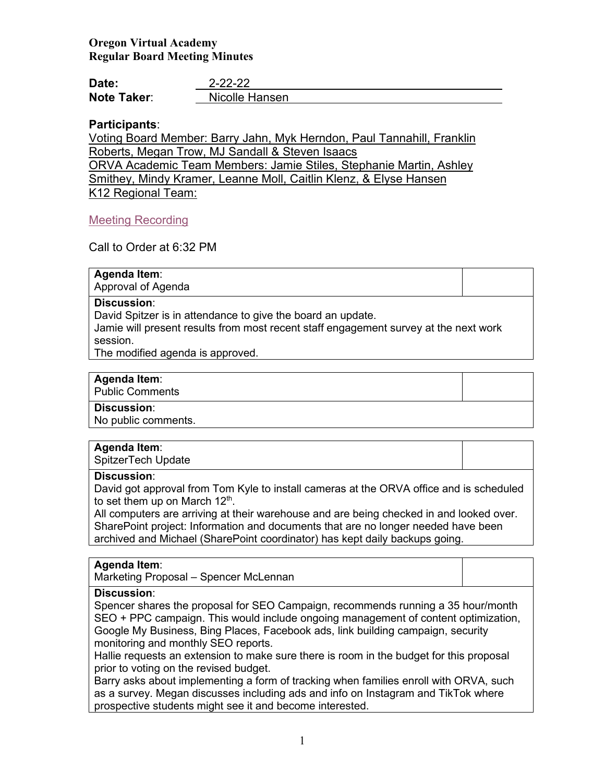# **Oregon Virtual Academy Regular Board Meeting Minutes**

| Date:              | $2 - 22 - 22$  |
|--------------------|----------------|
| <b>Note Taker:</b> | Nicolle Hansen |

# **Participants**:

Voting Board Member: Barry Jahn, Myk Herndon, Paul Tannahill, Franklin Roberts, Megan Trow, MJ Sandall & Steven Isaacs ORVA Academic Team Members: Jamie Stiles, Stephanie Martin, Ashley Smithey, Mindy Kramer, Leanne Moll, Caitlin Klenz, & Elyse Hansen K12 Regional Team:

# [Meeting Recording](https://us02web.zoom.us/rec/play/zB35aK0eb5cR6xvbH56tOowM72k9ZLI9fjkpe-dF965KtAx9HStpdx8aFkVSA3GMu3j2cEOc1osdGQLL.96uFvye_04SEYMQB)

Call to Order at 6:32 PM

# **Agenda Item**:

Approval of Agenda

## **Discussion**:

David Spitzer is in attendance to give the board an update.

Jamie will present results from most recent staff engagement survey at the next work session.

The modified agenda is approved.

# **Agenda Item**:

Public Comments

### **Discussion**:

No public comments.

# **Agenda Item**:

SpitzerTech Update

### **Discussion**:

David got approval from Tom Kyle to install cameras at the ORVA office and is scheduled to set them up on March  $12<sup>th</sup>$ .

All computers are arriving at their warehouse and are being checked in and looked over. SharePoint project: Information and documents that are no longer needed have been archived and Michael (SharePoint coordinator) has kept daily backups going.

### **Agenda Item**:

Marketing Proposal – Spencer McLennan

# **Discussion**:

Spencer shares the proposal for SEO Campaign, recommends running a 35 hour/month SEO + PPC campaign. This would include ongoing management of content optimization, Google My Business, Bing Places, Facebook ads, link building campaign, security monitoring and monthly SEO reports.

Hallie requests an extension to make sure there is room in the budget for this proposal prior to voting on the revised budget.

Barry asks about implementing a form of tracking when families enroll with ORVA, such as a survey. Megan discusses including ads and info on Instagram and TikTok where prospective students might see it and become interested.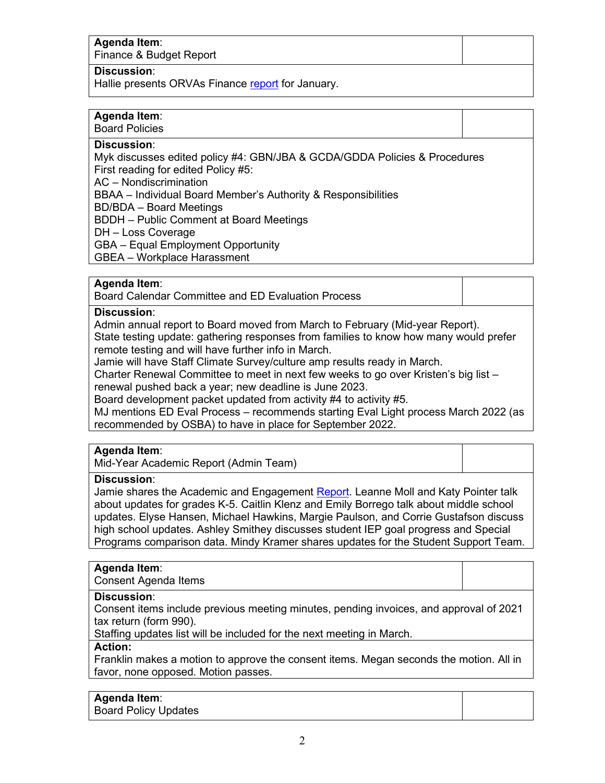# **Agenda Item**:

Finance & Budget Report

## **Discussion**:

Hallie presents ORVAs Finance [report](https://k12inc-my.sharepoint.com/:p:/g/personal/nhansen_oregonva_org/EeyvBNSZA2NHh9s3J3PUrG4BcbgOoi1hdq1_Jya5pJMoww?e=yLkIvt) for January.

# **Agenda Item**:

Board Policies

# **Discussion**:

Myk discusses edited policy #4: GBN/JBA & GCDA/GDDA Policies & Procedures First reading for edited Policy #5:

AC – Nondiscrimination

BBAA – Individual Board Member's Authority & Responsibilities

BD/BDA – Board Meetings

BDDH – Public Comment at Board Meetings

DH – Loss Coverage

GBA – Equal Employment Opportunity

GBEA – Workplace Harassment

## **Agenda Item**:

Board Calendar Committee and ED Evaluation Process

## **Discussion**:

Admin annual report to Board moved from March to February (Mid-year Report). State testing update: gathering responses from families to know how many would prefer remote testing and will have further info in March.

Jamie will have Staff Climate Survey/culture amp results ready in March.

Charter Renewal Committee to meet in next few weeks to go over Kristen's big list – renewal pushed back a year; new deadline is June 2023.

Board development packet updated from activity #4 to activity #5.

MJ mentions ED Eval Process – recommends starting Eval Light process March 2022 (as recommended by OSBA) to have in place for September 2022.

## **Agenda Item**:

Mid-Year Academic Report (Admin Team)

### **Discussion**:

Jamie shares the Academic and Engagement [Report.](https://k12inc-my.sharepoint.com/:p:/g/personal/nhansen_oregonva_org/ESEVSMiNFZxOvgkFtZEwStcBaaeR_1HBIQiKwtio-o6eKA?e=fv7xwV) Leanne Moll and Katy Pointer talk about updates for grades K-5. Caitlin Klenz and Emily Borrego talk about middle school updates. Elyse Hansen, Michael Hawkins, Margie Paulson, and Corrie Gustafson discuss high school updates. Ashley Smithey discusses student IEP goal progress and Special Programs comparison data. Mindy Kramer shares updates for the Student Support Team.

### **Agenda Item**:

Consent Agenda Items

### **Discussion**:

Consent items include previous meeting minutes, pending invoices, and approval of 2021 tax return (form 990).

Staffing updates list will be included for the next meeting in March.

### **Action:**

Franklin makes a motion to approve the consent items. Megan seconds the motion. All in favor, none opposed. Motion passes.

# **Agenda Item**:

Board Policy Updates